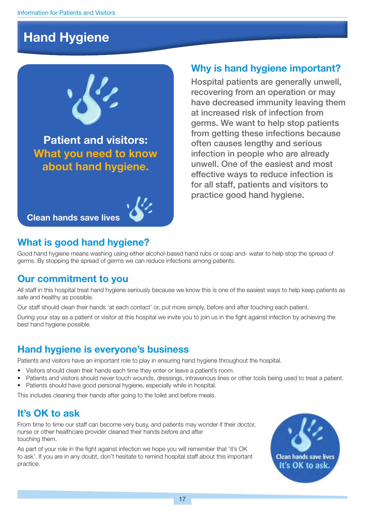## **Hand Hygiene**



**Patient and visitors: What you need to know about hand hygiene.**

```
Clean hands save lives
```
#### **Why is hand hygiene important?**

Hospital patients are generally unwell, recovering from an operation or may have decreased immunity leaving them at increased risk of infection from germs. We want to help stop patients from getting these infections because often causes lengthy and serious infection in people who are already unwell. One of the easiest and most effective ways to reduce infection is for all staff, patients and visitors to practice good hand hygiene.

#### **What is good hand hygiene?**

Good hand hygiene means washing using either alcohol-based hand rubs or soap and- water to help stop the spread of germs. By stopping the spread of germs we can reduce infections among patients.

#### **Our commitment to you**

All staff in this hospital treat hand hygiene seriously because we know this is one of the easiest ways to help keep patients as safe and healthy as possible.

Our staff should clean their hands 'at each contact' or, put more simply, before and after touching each patient.

During your stay as a patient or visitor at this hospital we invite you to join us in the fight against infection by achieving the best hand hygiene possible.

#### **Hand hygiene is everyone's business**

Patients and visitors have an important role to play in ensuring hand hygiene throughout the hospital.

- Visitors should clean their hands each time they enter or leave a patient's room.
- Patients and visitors should never touch wounds, dressings, intravenous lines or other tools being used to treat a patient.
- Patients should have good personal hygiene, especially while in hospital.

This includes cleaning their hands after going to the toilet and before meals.

#### **It's OK to ask**

From time to time our staff can become very busy, and patients may wonder if their doctor, nurse or other healthcare provider cleaned their hands before and after touching them.

As part of your role in the fight against infection we hope you will remember that 'it's OK to ask'. If you are in any doubt, don't hesitate to remind hospital staff about this important practice.